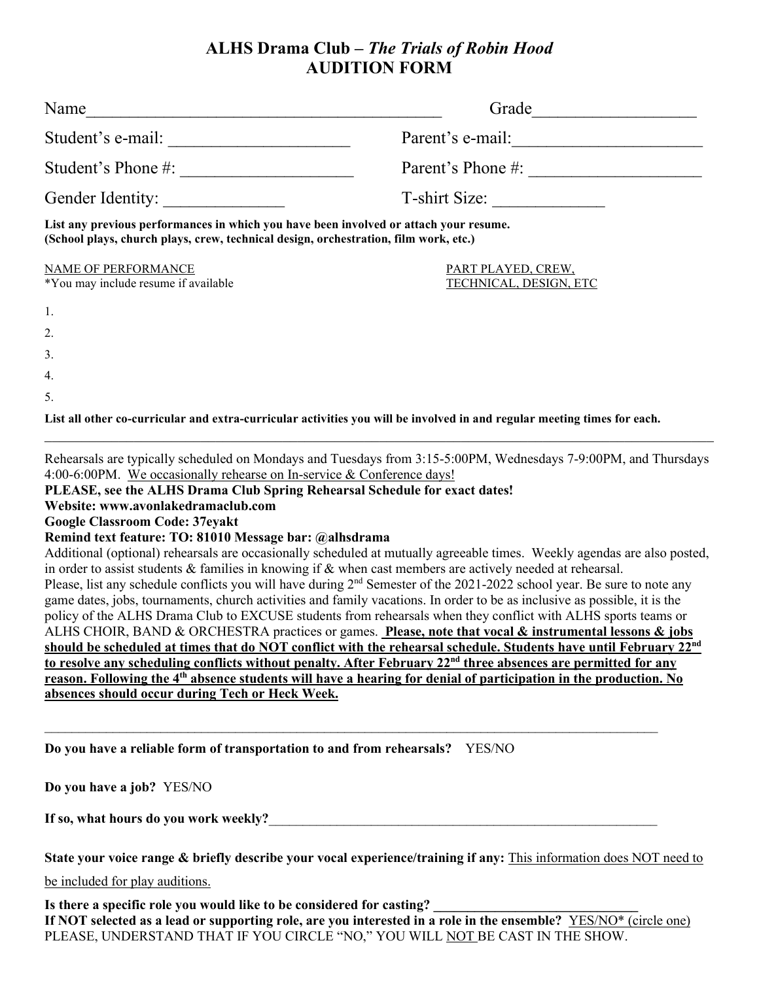# **ALHS Drama Club –** *The Trials of Robin Hood* **AUDITION FORM**

| Name                                                                                                                                                                          | Grade                                                                                                                    |  |  |  |
|-------------------------------------------------------------------------------------------------------------------------------------------------------------------------------|--------------------------------------------------------------------------------------------------------------------------|--|--|--|
| Student's e-mail:                                                                                                                                                             | Parent's e-mail:                                                                                                         |  |  |  |
| Student's Phone #:                                                                                                                                                            | Parent's Phone #:                                                                                                        |  |  |  |
| Gender Identity:                                                                                                                                                              | T-shirt Size:                                                                                                            |  |  |  |
| List any previous performances in which you have been involved or attach your resume.<br>(School plays, church plays, crew, technical design, orchestration, film work, etc.) |                                                                                                                          |  |  |  |
| <b>NAME OF PERFORMANCE</b><br>*You may include resume if available                                                                                                            | PART PLAYED, CREW,<br>TECHNICAL, DESIGN, ETC                                                                             |  |  |  |
| 1.                                                                                                                                                                            |                                                                                                                          |  |  |  |
| 2.                                                                                                                                                                            |                                                                                                                          |  |  |  |
| 3.                                                                                                                                                                            |                                                                                                                          |  |  |  |
| 4.                                                                                                                                                                            |                                                                                                                          |  |  |  |
| 5.                                                                                                                                                                            |                                                                                                                          |  |  |  |
|                                                                                                                                                                               | List all other co-curricular and extra-curricular activities you will be involved in and regular meeting times for each. |  |  |  |

Rehearsals are typically scheduled on Mondays and Tuesdays from 3:15-5:00PM, Wednesdays 7-9:00PM, and Thursdays 4:00-6:00PM. We occasionally rehearse on In-service & Conference days!

#### **PLEASE, see the ALHS Drama Club Spring Rehearsal Schedule for exact dates!**

## **Website: www.avonlakedramaclub.com**

### **Google Classroom Code: 37eyakt**

#### **Remind text feature: TO: 81010 Message bar: @alhsdrama**

Additional (optional) rehearsals are occasionally scheduled at mutually agreeable times. Weekly agendas are also posted, in order to assist students & families in knowing if & when cast members are actively needed at rehearsal. Please, list any schedule conflicts you will have during  $2<sup>nd</sup>$  Semester of the 2021-2022 school year. Be sure to note any game dates, jobs, tournaments, church activities and family vacations. In order to be as inclusive as possible, it is the policy of the ALHS Drama Club to EXCUSE students from rehearsals when they conflict with ALHS sports teams or ALHS CHOIR, BAND & ORCHESTRA practices or games. **Please, note that vocal & instrumental lessons & jobs** should be scheduled at times that do NOT conflict with the rehearsal schedule. Students have until February 22<sup>nd</sup> **to resolve any scheduling conflicts without penalty. After February 22nd three absences are permitted for any** reason. Following the 4<sup>th</sup> absence students will have a hearing for denial of participation in the production. No **absences should occur during Tech or Heck Week.**

 $\mathcal{L}_\text{max}$  and  $\mathcal{L}_\text{max}$  and  $\mathcal{L}_\text{max}$  and  $\mathcal{L}_\text{max}$  and  $\mathcal{L}_\text{max}$  and  $\mathcal{L}_\text{max}$ 

**Do you have a reliable form of transportation to and from rehearsals?** YES/NO

**Do you have a job?** YES/NO

**If so, what hours do you work weekly?**\_\_\_\_\_\_\_\_\_\_\_\_\_\_\_\_\_\_\_\_\_\_\_\_\_\_\_\_\_\_\_\_\_\_\_\_\_\_\_\_\_\_\_\_\_\_\_\_\_\_\_\_\_\_\_\_\_

**State your voice range & briefly describe your vocal experience/training if any:** This information does NOT need to

be included for play auditions.

**Is there a specific role you would like to be considered for casting? \_\_\_\_\_\_\_\_\_\_\_\_\_\_\_\_\_\_\_\_\_\_\_\_\_\_\_\_\_\_**

If NOT selected as a lead or supporting role, are you interested in a role in the ensemble? YES/NO\* (circle one) PLEASE, UNDERSTAND THAT IF YOU CIRCLE "NO," YOU WILL NOT BE CAST IN THE SHOW.